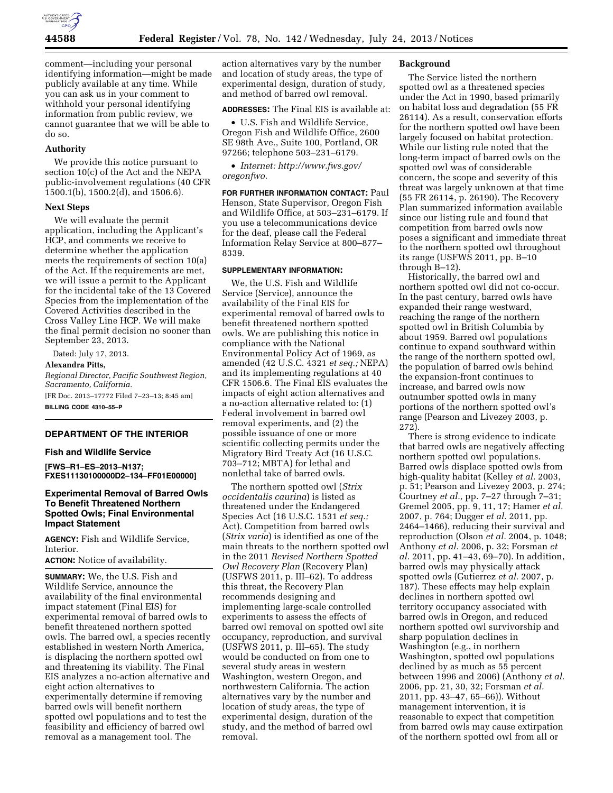

comment—including your personal identifying information—might be made publicly available at any time. While you can ask us in your comment to withhold your personal identifying information from public review, we cannot guarantee that we will be able to do so.

### **Authority**

We provide this notice pursuant to section 10(c) of the Act and the NEPA public-involvement regulations (40 CFR 1500.1(b), 1500.2(d), and 1506.6).

### **Next Steps**

We will evaluate the permit application, including the Applicant's HCP, and comments we receive to determine whether the application meets the requirements of section 10(a) of the Act. If the requirements are met, we will issue a permit to the Applicant for the incidental take of the 13 Covered Species from the implementation of the Covered Activities described in the Cross Valley Line HCP. We will make the final permit decision no sooner than September 23, 2013.

Dated: July 17, 2013. **Alexandra Pitts,**  *Regional Director, Pacific Southwest Region, Sacramento, California.*  [FR Doc. 2013–17772 Filed 7–23–13; 8:45 am] **BILLING CODE 4310–55–P** 

# **DEPARTMENT OF THE INTERIOR**

### **Fish and Wildlife Service**

**[FWS–R1–ES–2013–N137; FXES11130100000D2–134–FF01E00000]** 

# **Experimental Removal of Barred Owls To Benefit Threatened Northern Spotted Owls; Final Environmental Impact Statement**

**AGENCY:** Fish and Wildlife Service, Interior.

**ACTION:** Notice of availability.

**SUMMARY:** We, the U.S. Fish and Wildlife Service, announce the availability of the final environmental impact statement (Final EIS) for experimental removal of barred owls to benefit threatened northern spotted owls. The barred owl, a species recently established in western North America, is displacing the northern spotted owl and threatening its viability. The Final EIS analyzes a no-action alternative and eight action alternatives to experimentally determine if removing barred owls will benefit northern spotted owl populations and to test the feasibility and efficiency of barred owl removal as a management tool. The

action alternatives vary by the number and location of study areas, the type of experimental design, duration of study, and method of barred owl removal.

### **ADDRESSES:** The Final EIS is available at:

• U.S. Fish and Wildlife Service, Oregon Fish and Wildlife Office, 2600 SE 98th Ave., Suite 100, Portland, OR 97266; telephone 503–231–6179.

• *Internet: [http://www.fws.gov/](http://www.fws.gov/oregonfwo) [oregonfwo.](http://www.fws.gov/oregonfwo)* 

**FOR FURTHER INFORMATION CONTACT:** Paul Henson, State Supervisor, Oregon Fish and Wildlife Office, at 503–231–6179. If you use a telecommunications device for the deaf, please call the Federal Information Relay Service at 800–877– 8339.

# **SUPPLEMENTARY INFORMATION:**

We, the U.S. Fish and Wildlife Service (Service), announce the availability of the Final EIS for experimental removal of barred owls to benefit threatened northern spotted owls. We are publishing this notice in compliance with the National Environmental Policy Act of 1969, as amended (42 U.S.C. 4321 *et seq.;* NEPA) and its implementing regulations at 40 CFR 1506.6. The Final EIS evaluates the impacts of eight action alternatives and a no-action alternative related to: (1) Federal involvement in barred owl removal experiments, and (2) the possible issuance of one or more scientific collecting permits under the Migratory Bird Treaty Act (16 U.S.C. 703–712; MBTA) for lethal and nonlethal take of barred owls.

The northern spotted owl (*Strix occidentalis caurina*) is listed as threatened under the Endangered Species Act (16 U.S.C. 1531 *et seq.;*  Act). Competition from barred owls (*Strix varia*) is identified as one of the main threats to the northern spotted owl in the 2011 *Revised Northern Spotted Owl Recovery Plan* (Recovery Plan) (USFWS 2011, p. III–62). To address this threat, the Recovery Plan recommends designing and implementing large-scale controlled experiments to assess the effects of barred owl removal on spotted owl site occupancy, reproduction, and survival (USFWS 2011, p. III–65). The study would be conducted on from one to several study areas in western Washington, western Oregon, and northwestern California. The action alternatives vary by the number and location of study areas, the type of experimental design, duration of the study, and the method of barred owl removal.

#### **Background**

The Service listed the northern spotted owl as a threatened species under the Act in 1990, based primarily on habitat loss and degradation (55 FR 26114). As a result, conservation efforts for the northern spotted owl have been largely focused on habitat protection. While our listing rule noted that the long-term impact of barred owls on the spotted owl was of considerable concern, the scope and severity of this threat was largely unknown at that time (55 FR 26114, p. 26190). The Recovery Plan summarized information available since our listing rule and found that competition from barred owls now poses a significant and immediate threat to the northern spotted owl throughout its range (USFWS 2011, pp. B–10 through B–12).

Historically, the barred owl and northern spotted owl did not co-occur. In the past century, barred owls have expanded their range westward, reaching the range of the northern spotted owl in British Columbia by about 1959. Barred owl populations continue to expand southward within the range of the northern spotted owl, the population of barred owls behind the expansion-front continues to increase, and barred owls now outnumber spotted owls in many portions of the northern spotted owl's range (Pearson and Livezey 2003, p. 272).

There is strong evidence to indicate that barred owls are negatively affecting northern spotted owl populations. Barred owls displace spotted owls from high-quality habitat (Kelley *et al.* 2003, p. 51; Pearson and Livezey 2003, p. 274; Courtney *et al.,* pp. 7–27 through 7–31; Gremel 2005, pp. 9, 11, 17; Hamer *et al.*  2007, p. 764; Dugger *et al.* 2011, pp. 2464–1466), reducing their survival and reproduction (Olson *et al.* 2004, p. 1048; Anthony *et al.* 2006, p. 32; Forsman *et al.* 2011, pp. 41–43, 69–70). In addition, barred owls may physically attack spotted owls (Gutierrez *et al.* 2007, p. 187). These effects may help explain declines in northern spotted owl territory occupancy associated with barred owls in Oregon, and reduced northern spotted owl survivorship and sharp population declines in Washington (e.g., in northern Washington, spotted owl populations declined by as much as 55 percent between 1996 and 2006) (Anthony *et al.*  2006, pp. 21, 30, 32; Forsman *et al.*  2011, pp. 43–47, 65–66)). Without management intervention, it is reasonable to expect that competition from barred owls may cause extirpation of the northern spotted owl from all or